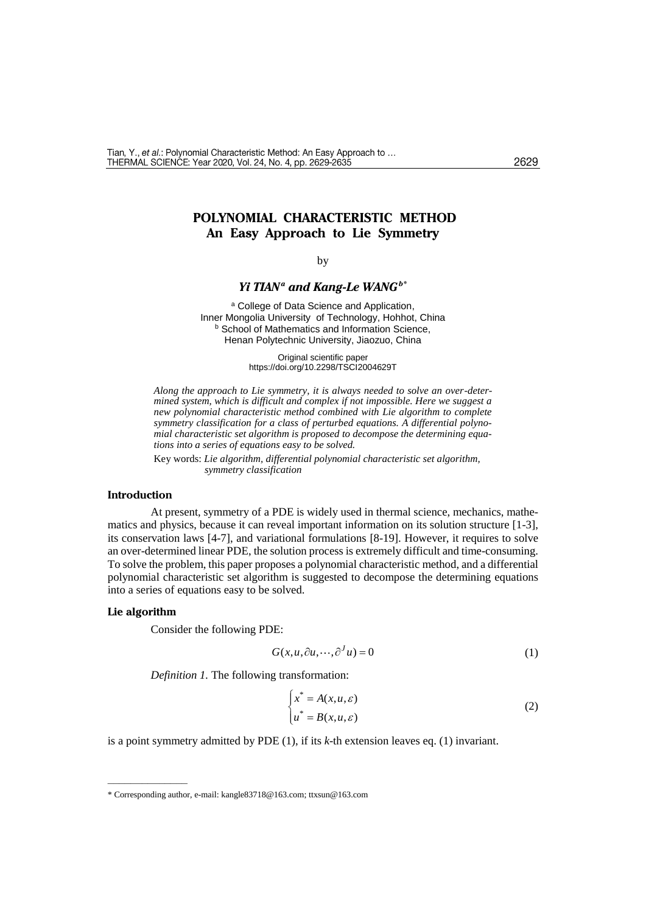#### 2629

# **POLYNOMIAL CHARACTERISTIC METHOD An Easy Approach to Lie Symmetry**

### by

## *Yi TIAN<sup>a</sup> and Kang-Le WANGb\**

a College of Data Science and Application, Inner Mongolia University of Technology, Hohhot, China **b** School of Mathematics and Information Science. Henan Polytechnic University, Jiaozuo, China

> Original scientific paper https://doi.org/10.2298/TSCI2004629T

*Along the approach to Lie symmetry, it is always needed to solve an over-determined system, which is difficult and complex if not impossible. Here we suggest a new polynomial characteristic method combined with Lie algorithm to complete symmetry classification for a class of perturbed equations. A differential polynomial characteristic set algorithm is proposed to decompose the determining equations into a series of equations easy to be solved.*

Key words: *Lie algorithm, differential polynomial characteristic set algorithm, symmetry classification*

## **Introduction**

At present, symmetry of a PDE is widely used in thermal science, mechanics, mathematics and physics, because it can reveal important information on its solution structure [1-3], its conservation laws [4-7], and variational formulations [8-19]. However, it requires to solve an over-determined linear PDE, the solution process is extremely difficult and time-consuming. To solve the problem, this paper proposes a polynomial characteristic method, and a differential polynomial characteristic set algorithm is suggested to decompose the determining equations into a series of equations easy to be solved.

## **Lie algorithm**

––––––––––––––

Consider the following PDE:

$$
G(x, u, \partial u, \cdots, \partial^J u) = 0 \tag{1}
$$

*Definition 1.* The following transformation:

$$
\begin{cases} x^* = A(x, u, \varepsilon) \\ u^* = B(x, u, \varepsilon) \end{cases} \tag{2}
$$

is a point symmetry admitted by PDE (1), if its *k*-th extension leaves eq. (1) invariant.

<sup>\*</sup> Corresponding author, e-mail: [kangle83718@163.com;](mailto:kangle83718@163.com) ttxsun@163.com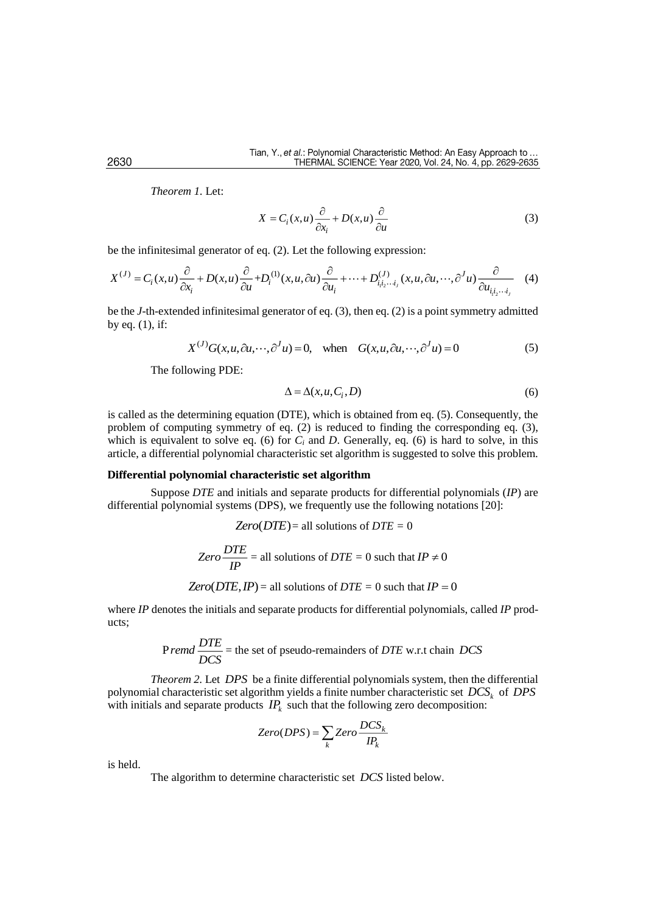*Theorem 1.* Let:

$$
X = C_i(x, u)\frac{\partial}{\partial x_i} + D(x, u)\frac{\partial}{\partial u}
$$
 (3)

be the infinitesimal generator of eq. (2). Let the followin[g expression:](javascript:;)

$$
X^{(J)} = C_i(x, u) \frac{\partial}{\partial x_i} + D(x, u) \frac{\partial}{\partial u} + D_i^{(1)}(x, u, \partial u) \frac{\partial}{\partial u_i} + \dots + D_{i_1 i_2 \cdots i_j}^{(J)}(x, u, \partial u, \cdots, \partial^J u) \frac{\partial}{\partial u_{i_1 i_2 \cdots i_j}}
$$
(4)

be the *J-*th-extended infinitesimal generator of eq. (3), then eq. (2) is a point symmetry admitted by eq. (1), if:

$$
X^{(J)}G(x, u, \partial u, \cdots, \partial^{J} u) = 0, \text{ when } G(x, u, \partial u, \cdots, \partial^{J} u) = 0
$$
 (5)

The following PDE:

$$
\Delta = \Delta(x, u, C_i, D) \tag{6}
$$

is called as the determining equation (DTE), which is obtained from eq. (5). Consequently, the problem of computing symmetry of eq. (2) is reduced to finding the corresponding eq. (3), which is equivalent to solve eq. (6) for  $C_i$  and  $D$ . Generally, eq. (6) is hard to solve, in this article, a differential polynomial characteristic set algorithm is suggested to solve this problem.

### **Differential polynomial characteristic set algorithm**

Suppose *DTE* and initials and separate products for differential polynomials (*IP*) are differential polynomial systems (DPS), we frequently use the following notations [20]:

$$
Zero(DTE) = \text{all solutions of } DTE = 0
$$
  

$$
Zero\frac{DTE}{IP} = \text{all solutions of } DTE = 0 \text{ such that } IP ≠ 0
$$
  

$$
Zero(DTE, IP) = \text{all solutions of } DTE = 0 \text{ such that } IP = 0
$$

where *IP* denotes the initials and separate products for differential polynomials, called *IP* products;

$$
Premd \frac{DTE}{DCS}
$$
 = the set of pseudo-remainders of *DTE* w.r.t chain *DCS*

*Theorem 2.* Let *DPS* be a finite differential polynomials system, then the differential polynomial characteristic set algorithm yields a finite number characteristic set *DCS<sup>k</sup>* of *DPS* with initials and separate products  $IP_k$  such that the following zero decomposition:

$$
Zero(DPS) = \sum_{k} Zero \frac{DCS_{k}}{IP_{k}}
$$

is held.

The algorithm to determine characteristic set *DCS* listed below.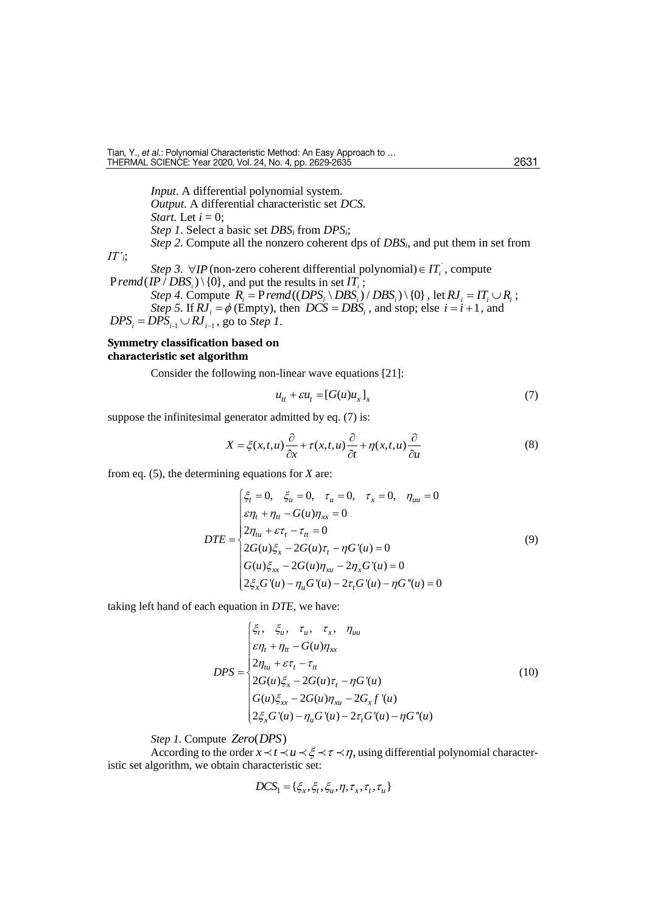2631

*Input*. A differential polynomial system. *Output.* A differential characteristic set *DCS. Start.* Let  $i = 0$ ; *Step 1.* Select a basic set *DBS<sup>i</sup>* from *DPSi*; *Step 2.* Compute all the nonzero coherent dps of *DBSi*, and put them in set from *IT'i*; *Step 3.*  $\forall IP$  (non-zero coherent differential polynomial)  $\in IT_i$ , compute  $Premd (IP / DBS<sub>i</sub>) \setminus \{0\}$ , and put the results in set  $IT<sub>i</sub>$ ; Step 4. Compute  $R_i = Premd((DPS_i \setminus DBS_i)/DBS_i) \setminus \{0\}$ , let  $RJ_i = IT_i \cup R_i$ ; *Step 5.* If  $RJ_i = \phi$  (Empty), then  $DCS = DBS_i$ , and stop; else  $i = i + 1$ , and  $DPS_i = DPS_{i-1} \cup RJ_{i-1}$ , go to *Step 1*.

## **Symmetry classification based on characteristic set algorithm**

Consider the following non-linear wave equations [21]:

$$
u_{tt} + \varepsilon u_t = [G(u)u_x]_x \tag{7}
$$

suppose the infinitesimal generator admitted by eq. (7) is:

$$
X = \xi(x, t, u) \frac{\partial}{\partial x} + \tau(x, t, u) \frac{\partial}{\partial t} + \eta(x, t, u) \frac{\partial}{\partial u}
$$
(8)

from eq. (5), the determining equations for *X* are:

$$
DTE = \begin{cases} \xi_t = 0, & \xi_u = 0, & \tau_u = 0, & \tau_x = 0, & \eta_{uu} = 0 \\ \varepsilon \eta_t + \eta_u - G(u)\eta_{xx} = 0 \\ 2\eta_{uu} + \varepsilon \tau_t - \tau_u = 0 \\ 2G(u)\xi_x - 2G(u)\tau_t - \eta G'(u) = 0 \\ G(u)\xi_{xx} - 2G(u)\eta_{xu} - 2\eta_x G'(u) = 0 \\ 2\xi_x G'(u) - \eta_u G'(u) - 2\tau_t G'(u) - \eta G''(u) = 0 \end{cases}
$$
\n(9)

taking left hand of each equation in *DTE*, we have:

$$
DPS = \begin{cases} \xi_t, & \xi_u, & \tau_u, & \tau_x, & \eta_{uu} \\ \varepsilon \eta_t + \eta_u - G(u) \eta_{xx} \\ 2\eta_{tu} + \varepsilon \tau_t - \tau_u \\ 2G(u)\xi_x - 2G(u)\tau_t - \eta G'(u) \\ G(u)\xi_{xx} - 2G(u)\eta_{xu} - 2G_x f'(u) \\ 2\xi_x G'(u) - \eta_u G'(u) - 2\tau_t G'(u) - \eta G''(u) \end{cases}
$$
(10)

Step 1. Compute Zero(DPS)

According to the order  $x \prec t \prec u \prec \xi \prec \tau \prec \eta$ , using differential polynomial characteristic set algorithm, we obtain characteristic set:

$$
DCS_1 = \{ \xi_x, \xi_t, \xi_u, \eta, \tau_x, \tau_t, \tau_u \}
$$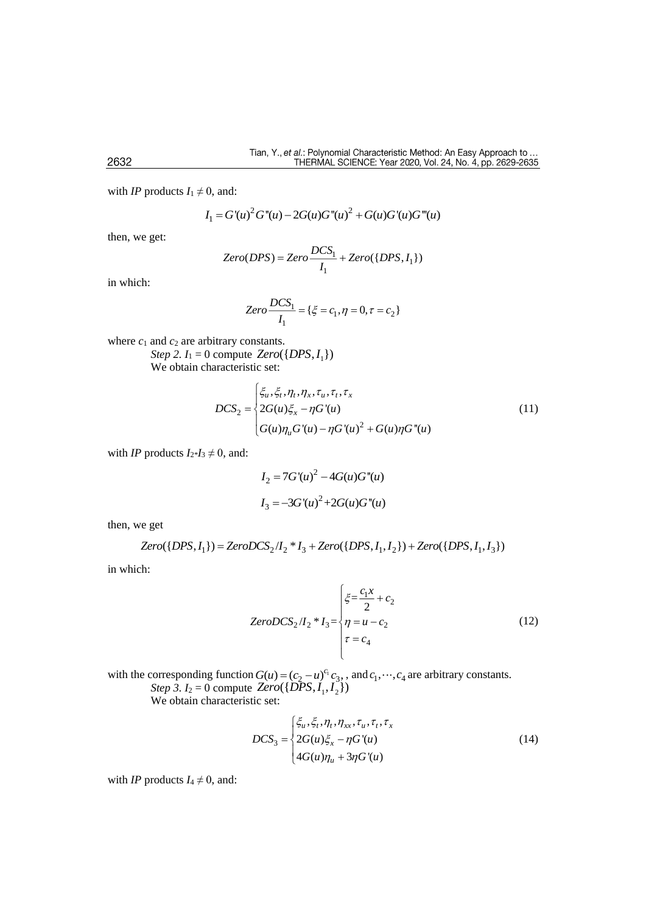with *IP* products  $I_1 \neq 0$ , and:

$$
I_1 = G'(u)^2 G''(u) - 2G(u)G''(u)^2 + G(u)G'(u)G'''(u)
$$

then, we get:

$$
Zero(DPS) = Zero \frac{DCS_1}{I_1} + Zero(\{DPS, I_1\})
$$

in which:

$$
Zero \frac{DCS_1}{I_1} = \{ \xi = c_1, \eta = 0, \tau = c_2 \}
$$

where  $c_1$  and  $c_2$  are arbitrary constants.  $Step 2. I_1 = 0$  compute  $Zero({\lbrace DPS, I_1 \rbrace})$ We obtain characteristic set:

$$
DCS_2 = \begin{cases} \xi_u, \xi_t, \eta_t, \eta_x, \tau_u, \tau_t, \tau_x \\ 2G(u)\xi_x - \eta G'(u) \\ G(u)\eta_u G'(u) - \eta G'(u)^2 + G(u)\eta G''(u) \end{cases}
$$
(11)

with *IP* products  $I_{2}$ \* $I_{3} \neq 0$ , and:

$$
I_2 = 7G'(u)^2 - 4G(u)G''(u)
$$
  

$$
I_3 = -3G'(u)^2 + 2G(u)G''(u)
$$

then, we get

$$
Zero({\{DPS, I_1\}}) = ZeroDCS_2/I_2 * I_3 + Zero({\{DPS, I_1, I_2\}}) + Zero({\{DPS, I_1, I_3\}})
$$

in which:

$$
ZeroDCS_2/I_2 * I_3 = \begin{cases} \xi = \frac{c_1 x}{2} + c_2\\ \eta = u - c_2\\ \tau = c_4 \end{cases}
$$
(12)

with the corresponding function  $G(u) = (c_2 - u)^{c_1} c_3$ , and  $c_1, \dots, c_4$  are arbitrary constants. *Step 3.*  $I_2 = 0$  compute  $Zero({\{DPS, I_1, I_2\}})$ 

We obtain characteristic set:

$$
DCS_3 = \begin{cases} \xi_u, \xi_t, \eta_t, \eta_{xx}, \tau_u, \tau_t, \tau_x \\ 2G(u)\xi_x - \eta G'(u) \\ 4G(u)\eta_u + 3\eta G'(u) \end{cases}
$$
(14)

with *IP* products  $I_4 \neq 0$ , and: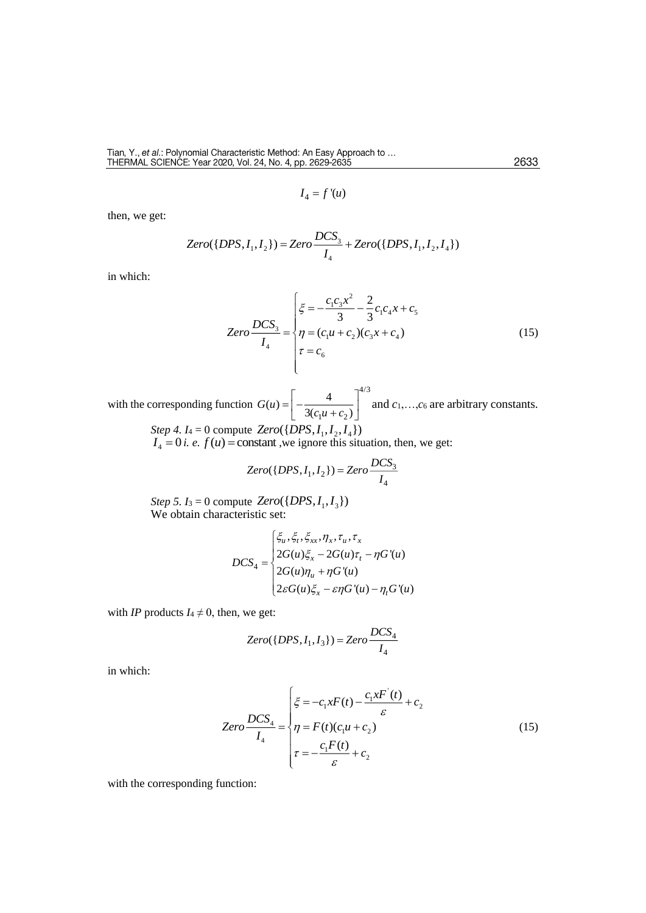$I_4 = f'(u)$ 

then, we get:

$$
Zero({\{DPS, I_1, I_2\}}) = Zero \frac{DCS_3}{I_4} + Zero({\{DPS, I_1, I_2, I_4\}})
$$

in which:

$$
Zero \frac{DCS_3}{I_4} = \begin{cases} \xi = -\frac{c_1 c_3 x^2}{3} - \frac{2}{3} c_1 c_4 x + c_5\\ \eta = (c_1 u + c_2)(c_3 x + c_4) \\ \tau = c_6 \end{cases}
$$
(15)

with the corresponding function 4/3  $1^{\mu}$   $\cdot$   $\cdot$  2  $(u) = -\frac{4}{\pi}$  $3(c_1u+c_2)$ *G <sup>u</sup>*  $c<sub>i</sub>u + c$  $=\left[-\frac{4}{3(c_1u+c_2)}\right]^{4/3}$  and  $c_1,...,c_6$  are arbitrary constants.

 $Step 4. I_4 = 0$  compute  $Zero({\{DPS, I_1, I_2, I_4\}})$  $I_4 = 0$  *i. e.*  $f(u) = \text{constant}$ , we ignore this situation, then, we get:

$$
Zero({\{DPS, I_1, I_2\}}) = Zero \frac{DCS_3}{I_4}
$$

*Step 5.*  $I_3 = 0$  compute  $Zero({\{DPS, I_1, I_3\}})$ We obtain characteristic set:

$$
DCS_4 = \begin{cases} \xi_u, \xi_t, \xi_{xx}, \eta_x, \tau_u, \tau_x \\ 2G(u)\xi_x - 2G(u)\tau_t - \eta G'(u) \\ 2G(u)\eta_u + \eta G'(u) \\ 2\varepsilon G(u)\xi_x - \varepsilon \eta G'(u) - \eta_t G'(u) \end{cases}
$$

with *IP* products  $I_4 \neq 0$ , then, we get:

$$
Zero(\{DPS, I_1, I_3\}) = Zero \frac{DCS_4}{I_4}
$$

in which:

$$
Zero \frac{DCS_4}{I_4} = \begin{cases} \xi = -c_1 x F(t) - \frac{c_1 x F'(t)}{\varepsilon} + c_2\\ \eta = F(t)(c_1 u + c_2) \\ \tau = -\frac{c_1 F(t)}{\varepsilon} + c_2 \end{cases}
$$
(15)

with the corresponding function: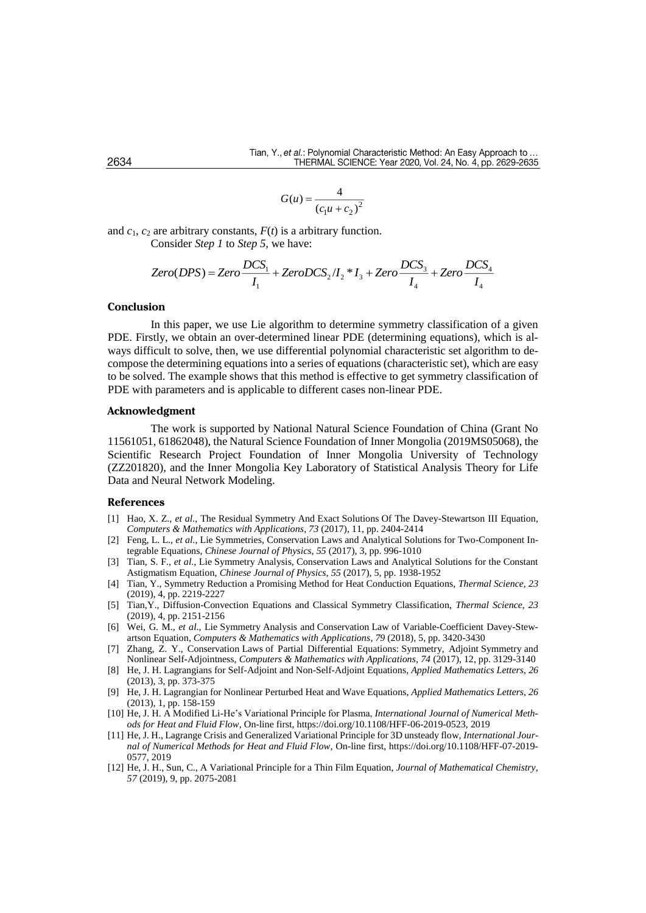$$
G(u) = \frac{4}{(c_1 u + c_2)^2}
$$

and  $c_1$ ,  $c_2$  are arbitrary constants,  $F(t)$  is a arbitrary function. Consider *Step 1* to *Step 5,* we have:

$$
Zero(DPS) = Zero \frac{DCS_1}{I_1} + ZeroDCS_2/I_2 * I_3 + Zero \frac{DCS_3}{I_4} + Zero \frac{DCS_4}{I_4}
$$

#### **Conclusion**

In this paper, we use Lie algorithm to determine symmetry classification of a given PDE. Firstly, we obtain an over-determined linear PDE (determining equations), which is always difficult to solve, then, we use differential polynomial characteristic set algorithm to decompose the determining equations into a series of equations (characteristic set), which are easy to be solved. The example shows that this method is effective to get symmetry classification of PDE with parameters and is applicable to different cases non-linear PDE.

#### **Acknowledgment**

The work is supported by National Natural Science Foundation of China (Grant No 11561051, 61862048), the Natural Science Foundation of Inner Mongolia (2019MS05068), the Scientific Research Project Foundation of Inner Mongolia University of Technology (ZZ201820), and the Inner Mongolia Key Laboratory of Statistical Analysis Theory for Life Data and Neural Network Modeling.

#### **References**

- [1] Hao, X. Z., *et al*., The Residual Symmetry And Exact Solutions [Of The Davey-Stewartson III Equation,](https://www.sciencedirect.com/science/article/pii/S0898122117302092) *[Computers & Mathematics with Applications](https://www.sciencedirect.com/science/journal/08981221)*, *73* (2017), 11, pp. 2404-2414
- [2] Feng, L. L., *et al*., Lie Symmetries, Conservation Laws and Analytical Solutions for Two-Component Integrable Equations, *[Chinese Journal of Physics,](https://www.sciencedirect.com/science/journal/05779073) 55* (2017), 3, pp. 996-1010
- [3] Tian, S. F., *et al*., Lie Symmetry Analysis, Conservation Laws and Analytical Solutions for the Constant Astigmatism Equation, *[Chinese Journal of Physics,](https://www.sciencedirect.com/science/journal/05779073) 55* (2017), 5, pp. 1938-1952
- [4] Tian, Y., Symmetry Reduction a Promising Method for Heat Conduction Equations, *Thermal Science, 23* (2019), 4, pp. 2219-2227
- [5] Tian,Y., Diffusion-Convection Equations and Classical Symmetry Classification, *Thermal Science*, *23* (2019), 4, pp. 2151-2156
- [6] Wei, G. M., *et al*., Lie Symmetry Analysis and Conservation Law of Variable-Coefficient Davey-Stewartson Equation, *[Computers & Mathematics with Applications,](https://www.sciencedirect.com/science/journal/08981221) 79* (2018), 5, pp. 3420-3430
- [7] Zhang, Z. Y., Conservation Laws of Partial Differential Equations: Symmetry, Adjoint Symmetry and Nonlinear Self-Adjointness, *[Computers & Mathematics with Applications,](https://www.sciencedirect.com/science/journal/08981221) 74* (2017), 12, pp. 3129-3140
- [8] He, J. H. Lagrangians for Self-Adjoint and Non-Self-Adjoint Equations, *Applied Mathematics Letters, 26* (2013), 3, pp. 373-375
- [9] He, J. H. Lagrangian for Nonlinear Perturbed Heat and Wave Equations, *Applied Mathematics Letters, 26* (2013), 1, pp. 158-159
- [10] He, J. H. A Modified Li-He's Variational Principle for Plasma, *International Journal of Numerical Methods for Heat and Fluid Flow*, On-line first, https://doi.org/10.1108/HFF-06-2019-0523, 2019
- [11] He, J. H., Lagrange Crisis and Generalized Variational Principle for 3D unsteady flow, *International Journal of Numerical Methods for Heat and Fluid Flow*, On-line first, https://doi.org/10.1108/HFF-07-2019- 0577, 2019
- [12] He, J. H., Sun, C., A Variational Principle for a Thin Film Equation, *Journal of Mathematical Chemistry, 57* (2019), 9, pp. 2075-2081